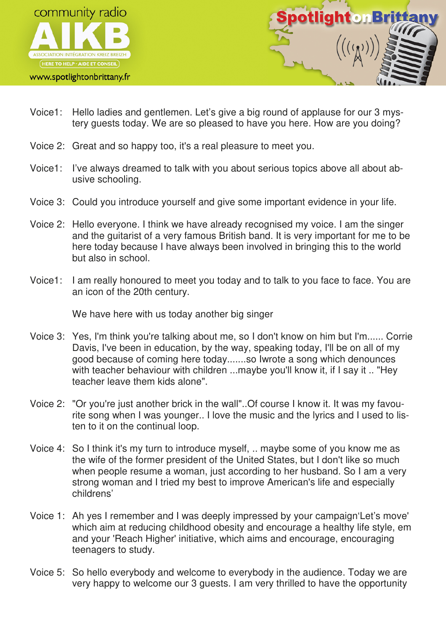

www.spotlightonbrittany.fr



- Voice1: Hello ladies and gentlemen. Let's give a big round of applause for our 3 mystery guests today. We are so pleased to have you here. How are you doing?
- Voice 2: Great and so happy too, it's a real pleasure to meet you.
- Voice1: I've always dreamed to talk with you about serious topics above all about abusive schooling.
- Voice 3: Could you introduce yourself and give some important evidence in your life.
- Voice 2: Hello everyone. I think we have already recognised my voice. I am the singer and the guitarist of a very famous British band. It is very important for me to be here today because I have always been involved in bringing this to the world but also in school.
- Voice1: I am really honoured to meet you today and to talk to you face to face. You are an icon of the 20th century.

We have here with us today another big singer

- Voice 3: Yes, I'm think you're talking about me, so I don't know on him but I'm...... Corrie Davis, I've been in education, by the way, speaking today, I'll be on all of my good because of coming here today.......so Iwrote a song which denounces with teacher behaviour with children ...maybe you'll know it, if I say it .. "Hey teacher leave them kids alone".
- Voice 2: "Or you're just another brick in the wall"..Of course I know it. It was my favourite song when I was younger.. I love the music and the lyrics and I used to listen to it on the continual loop.
- Voice 4: So I think it's my turn to introduce myself, .. maybe some of you know me as the wife of the former president of the United States, but I don't like so much when people resume a woman, just according to her husband. So I am a very strong woman and I tried my best to improve American's life and especially childrens'
- Voice 1: Ah yes I remember and I was deeply impressed by your campaign'Let's move' which aim at reducing childhood obesity and encourage a healthy life style, em and your 'Reach Higher' initiative, which aims and encourage, encouraging teenagers to study.
- Voice 5: So hello everybody and welcome to everybody in the audience. Today we are very happy to welcome our 3 guests. I am very thrilled to have the opportunity